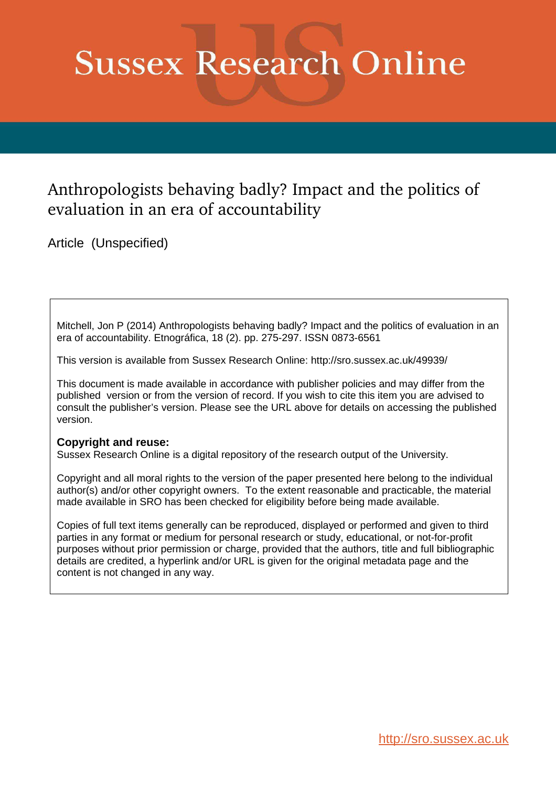# **Sussex Research Online**

## Anthropologists behaving badly? Impact and the politics of evaluation in an era of accountability

Article (Unspecified)

Mitchell, Jon P (2014) Anthropologists behaving badly? Impact and the politics of evaluation in an era of accountability. Etnográfica, 18 (2). pp. 275-297. ISSN 0873-6561

This version is available from Sussex Research Online: http://sro.sussex.ac.uk/49939/

This document is made available in accordance with publisher policies and may differ from the published version or from the version of record. If you wish to cite this item you are advised to consult the publisher's version. Please see the URL above for details on accessing the published version.

#### **Copyright and reuse:**

Sussex Research Online is a digital repository of the research output of the University.

Copyright and all moral rights to the version of the paper presented here belong to the individual author(s) and/or other copyright owners. To the extent reasonable and practicable, the material made available in SRO has been checked for eligibility before being made available.

Copies of full text items generally can be reproduced, displayed or performed and given to third parties in any format or medium for personal research or study, educational, or not-for-profit purposes without prior permission or charge, provided that the authors, title and full bibliographic details are credited, a hyperlink and/or URL is given for the original metadata page and the content is not changed in any way.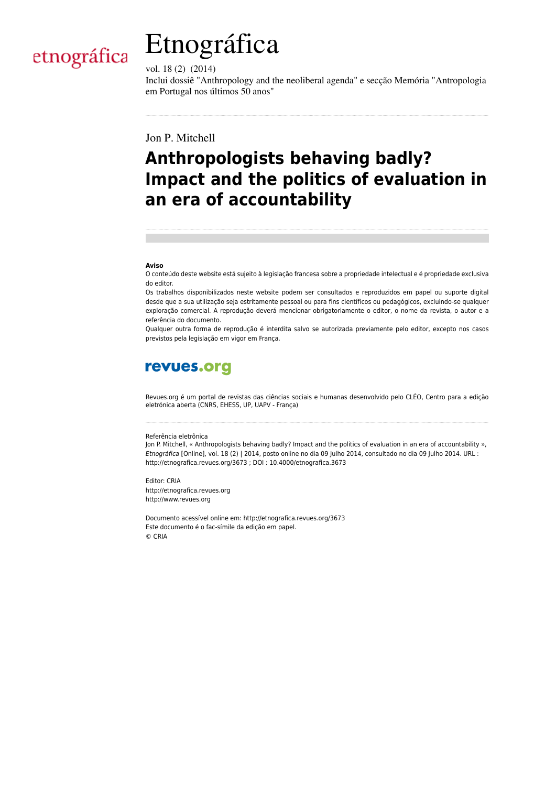



vol. 18 (2) (2014)

Inclui dossiê "Anthropology and the neoliberal agenda" e secção Memória "Antropologia em Portugal nos últimos 50 anos"

Jon P. Mitchell

# **Anthropologists behaving badly? Impact and the politics of evaluation in an era of accountability**

#### **Aviso**

O conteúdo deste website está sujeito à legislação francesa sobre a propriedade intelectual e é propriedade exclusiva do editor.

Os trabalhos disponibilizados neste website podem ser consultados e reproduzidos em papel ou suporte digital desde que a sua utilização seja estritamente pessoal ou para fins científicos ou pedagógicos, excluindo-se qualquer exploração comercial. A reprodução deverá mencionar obrigatoriamente o editor, o nome da revista, o autor e a referência do documento.

Qualquer outra forma de reprodução é interdita salvo se autorizada previamente pelo editor, excepto nos casos previstos pela legislação em vigor em França.

### revues.org

Revues.org é um portal de revistas das ciências sociais e humanas desenvolvido pelo CLÉO, Centro para a edição eletrónica aberta (CNRS, EHESS, UP, UAPV - França)

#### Referência eletrônica

Jon P. Mitchell, « Anthropologists behaving badly? Impact and the politics of evaluation in an era of accountability », Etnográfica [Online], vol. 18 (2) | 2014, posto online no dia 09 Julho 2014, consultado no dia 09 Julho 2014. URL : http://etnografica.revues.org/3673 ; DOI : 10.4000/etnografica.3673

Editor: CRIA http://etnografica.revues.org http://www.revues.org

Documento acessível online em: http://etnografica.revues.org/3673 Este documento é o fac-símile da edição em papel. © CRIA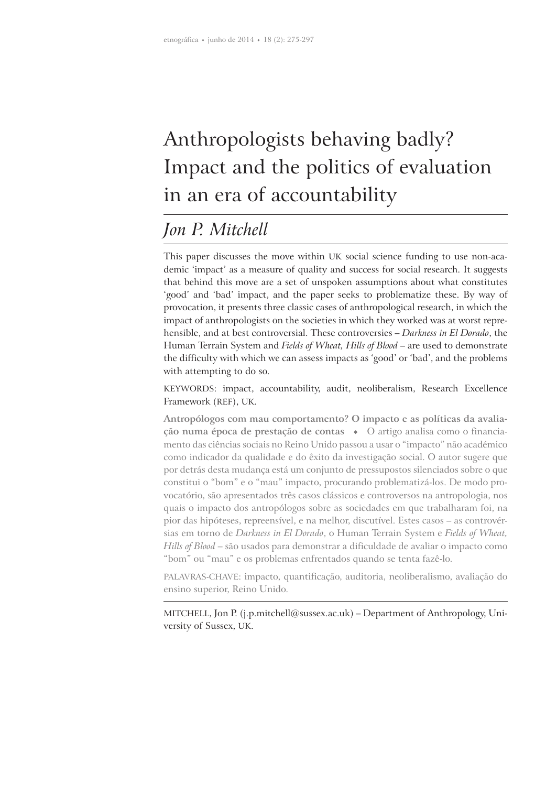# Anthropologists behaving badly? Impact and the politics of evaluation in an era of accountability

### *Jon P. Mitchell*

This paper discusses the move within UK social science funding to use non-academic 'impact' as a measure of quality and success for social research. It suggests that behind this move are a set of unspoken assumptions about what constitutes 'good' and 'bad' impact, and the paper seeks to problematize these. By way of provocation, it presents three classic cases of anthropological research, in which the impact of anthropologists on the societies in which they worked was at worst reprehensible, and at best controversial. These controversies – *Darkness in El Dorado*, the Human Terrain System and *Fields of Wheat, Hills of Blood* – are used to demonstrate the difficulty with which we can assess impacts as 'good' or 'bad', and the problems with attempting to do so.

KEYWORDS: impact, accountability, audit, neoliberalism, Research Excellence Framework (REF), UK.

**Antropólogos com mau comportamento? O impacto e as políticas da avaliação numa época de prestação de contas**  $\bullet$  **O artigo analisa como o financia**mento das ciências sociais no Reino Unido passou a usar o "impacto" não académico como indicador da qualidade e do êxito da investigação social. O autor sugere que por detrás desta mudança está um conjunto de pressupostos silenciados sobre o que constitui o "bom" e o "mau" impacto, procurando problematizá-los. De modo provocatório, são apresentados três casos clássicos e controversos na antropologia, nos quais o impacto dos antropólogos sobre as sociedades em que trabalharam foi, na pior das hipóteses, repreensível, e na melhor, discutível. Estes casos – as controvérsias em torno de *Darkness in El Dorado*, o Human Terrain System e *Fields of Wheat, Hills of Blood* – são usados para demonstrar a dificuldade de avaliar o impacto como "bom" ou "mau" e os problemas enfrentados quando se tenta fazê-lo.

PALAVRAS-CHAVE: impacto, quantificação, auditoria, neoliberalismo, avaliação do ensino superior, Reino Unido.

MITCHELL, Jon P. (j.p.mitchell@sussex.ac.uk) – Department of Anthropology, University of Sussex, UK.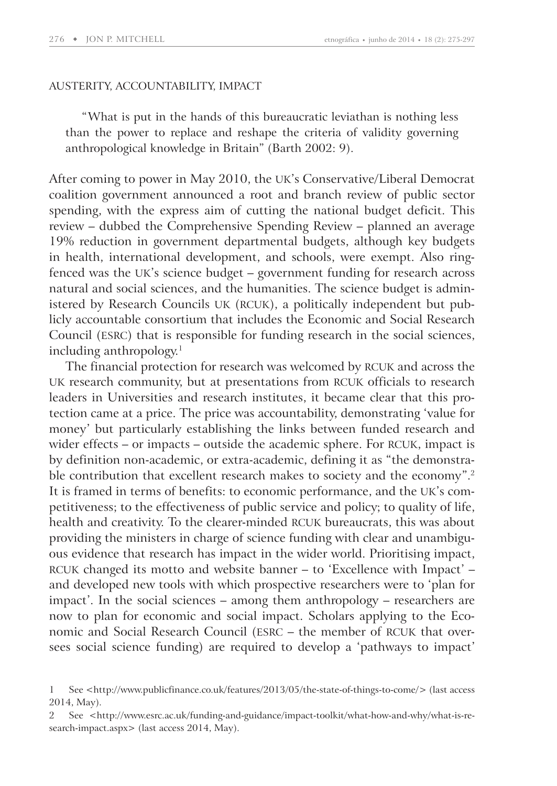#### AUSTERITY, ACCOUNTABILITY, IMPACT

"What is put in the hands of this bureaucratic leviathan is nothing less than the power to replace and reshape the criteria of validity governing anthropological knowledge in Britain" (Barth 2002: 9).

After coming to power in May 2010, the UK's Conservative/Liberal Democrat coalition government announced a root and branch review of public sector spending, with the express aim of cutting the national budget deficit. This review – dubbed the Comprehensive Spending Review – planned an average 19% reduction in government departmental budgets, although key budgets in health, international development, and schools, were exempt. Also ringfenced was the UK's science budget – government funding for research across natural and social sciences, and the humanities. The science budget is administered by Research Councils UK (RCUK), a politically independent but publicly accountable consortium that includes the Economic and Social Research Council (ESRC) that is responsible for funding research in the social sciences, including anthropology.<sup>1</sup>

The financial protection for research was welcomed by RCUK and across the UK research community, but at presentations from RCUK officials to research leaders in Universities and research institutes, it became clear that this protection came at a price. The price was accountability, demonstrating 'value for money' but particularly establishing the links between funded research and wider effects – or impacts – outside the academic sphere. For RCUK, impact is by definition non-academic, or extra-academic, defining it as "the demonstrable contribution that excellent research makes to society and the economy".<sup>2</sup> It is framed in terms of benefits: to economic performance, and the UK's competitiveness; to the effectiveness of public service and policy; to quality of life, health and creativity. To the clearer-minded RCUK bureaucrats, this was about providing the ministers in charge of science funding with clear and unambiguous evidence that research has impact in the wider world. Prioritising impact, RCUK changed its motto and website banner – to 'Excellence with Impact' – and developed new tools with which prospective researchers were to 'plan for impact'. In the social sciences – among them anthropology – researchers are now to plan for economic and social impact. Scholars applying to the Economic and Social Research Council (ESRC – the member of RCUK that oversees social science funding) are required to develop a 'pathways to impact'

<sup>1</sup> See <http: / / www.publicfinance.co.uk / features / 2013 / 05 / the-state-of-things-to-come / > (last access 2014, May).

See <http://www.esrc.ac.uk/funding-and-guidance/impact-toolkit/what-how-and-why/what-is-research-impact.aspx> (last access 2014, May).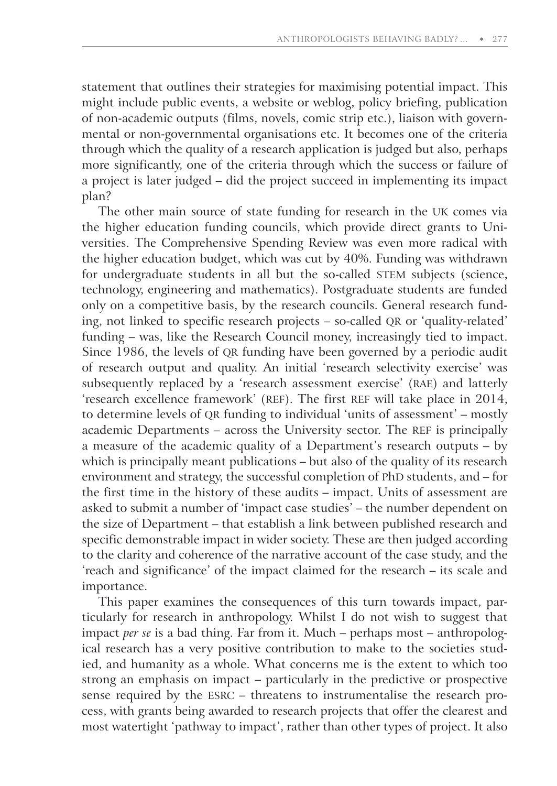statement that outlines their strategies for maximising potential impact. This might include public events, a website or weblog, policy briefing, publication of non-academic outputs (films, novels, comic strip etc.), liaison with governmental or non-governmental organisations etc. It becomes one of the criteria through which the quality of a research application is judged but also, perhaps more significantly, one of the criteria through which the success or failure of a project is later judged – did the project succeed in implementing its impact plan?

The other main source of state funding for research in the UK comes via the higher education funding councils, which provide direct grants to Universities. The Comprehensive Spending Review was even more radical with the higher education budget, which was cut by 40%. Funding was withdrawn for undergraduate students in all but the so-called STEM subjects (science, technology, engineering and mathematics). Postgraduate students are funded only on a competitive basis, by the research councils. General research funding, not linked to specific research projects – so-called QR or 'quality-related' funding – was, like the Research Council money, increasingly tied to impact. Since 1986, the levels of QR funding have been governed by a periodic audit of research output and quality. An initial 'research selectivity exercise' was subsequently replaced by a 'research assessment exercise' (RAE) and latterly 'research excellence framework' (REF). The first REF will take place in 2014, to determine levels of QR funding to individual 'units of assessment' – mostly academic Departments – across the University sector. The REF is principally a measure of the academic quality of a Department's research outputs – by which is principally meant publications – but also of the quality of its research environment and strategy, the successful completion of PhD students, and – for the first time in the history of these audits – impact. Units of assessment are asked to submit a number of 'impact case studies' – the number dependent on the size of Department – that establish a link between published research and specific demonstrable impact in wider society. These are then judged according to the clarity and coherence of the narrative account of the case study, and the 'reach and significance' of the impact claimed for the research – its scale and importance.

This paper examines the consequences of this turn towards impact, particularly for research in anthropology. Whilst I do not wish to suggest that impact *per se* is a bad thing. Far from it. Much – perhaps most – anthropological research has a very positive contribution to make to the societies studied, and humanity as a whole. What concerns me is the extent to which too strong an emphasis on impact – particularly in the predictive or prospective sense required by the ESRC – threatens to instrumentalise the research process, with grants being awarded to research projects that offer the clearest and most watertight 'pathway to impact', rather than other types of project. It also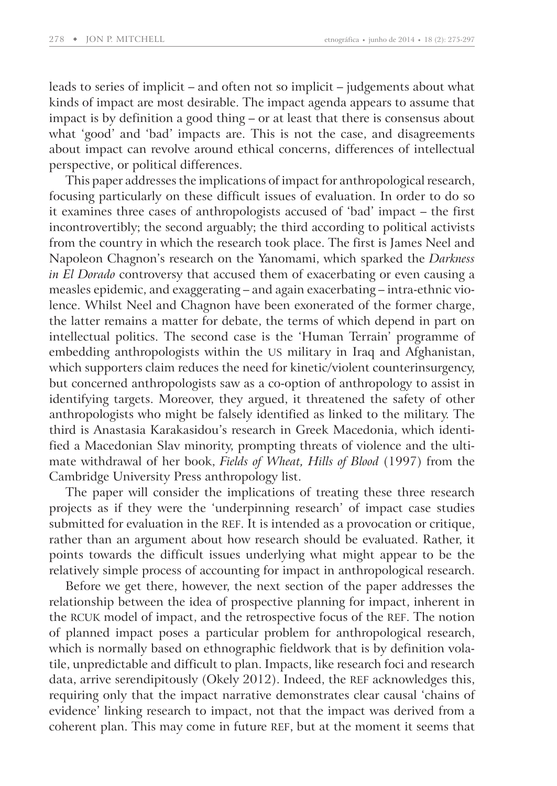leads to series of implicit – and often not so implicit – judgements about what kinds of impact are most desirable. The impact agenda appears to assume that impact is by definition a good thing – or at least that there is consensus about what 'good' and 'bad' impacts are. This is not the case, and disagreements about impact can revolve around ethical concerns, differences of intellectual perspective, or political differences.

This paper addresses the implications of impact for anthropological research, focusing particularly on these difficult issues of evaluation. In order to do so it examines three cases of anthropologists accused of 'bad' impact – the first incontrovertibly; the second arguably; the third according to political activists from the country in which the research took place. The first is James Neel and Napoleon Chagnon's research on the Yanomami, which sparked the *Darkness in El Dorado* controversy that accused them of exacerbating or even causing a measles epidemic, and exaggerating – and again exacerbating – intra-ethnic violence. Whilst Neel and Chagnon have been exonerated of the former charge, the latter remains a matter for debate, the terms of which depend in part on intellectual politics. The second case is the 'Human Terrain' programme of embedding anthropologists within the US military in Iraq and Afghanistan, which supporters claim reduces the need for kinetic/violent counterinsurgency, but concerned anthropologists saw as a co-option of anthropology to assist in identifying targets. Moreover, they argued, it threatened the safety of other anthropologists who might be falsely identified as linked to the military. The third is Anastasia Karakasidou's research in Greek Macedonia, which identified a Macedonian Slav minority, prompting threats of violence and the ultimate withdrawal of her book, *Fields of Wheat, Hills of Blood* (1997) from the Cambridge University Press anthropology list.

The paper will consider the implications of treating these three research projects as if they were the 'underpinning research' of impact case studies submitted for evaluation in the REF. It is intended as a provocation or critique, rather than an argument about how research should be evaluated. Rather, it points towards the difficult issues underlying what might appear to be the relatively simple process of accounting for impact in anthropological research.

Before we get there, however, the next section of the paper addresses the relationship between the idea of prospective planning for impact, inherent in the RCUK model of impact, and the retrospective focus of the REF. The notion of planned impact poses a particular problem for anthropological research, which is normally based on ethnographic fieldwork that is by definition volatile, unpredictable and difficult to plan. Impacts, like research foci and research data, arrive serendipitously (Okely 2012). Indeed, the REF acknowledges this, requiring only that the impact narrative demonstrates clear causal 'chains of evidence' linking research to impact, not that the impact was derived from a coherent plan. This may come in future REF, but at the moment it seems that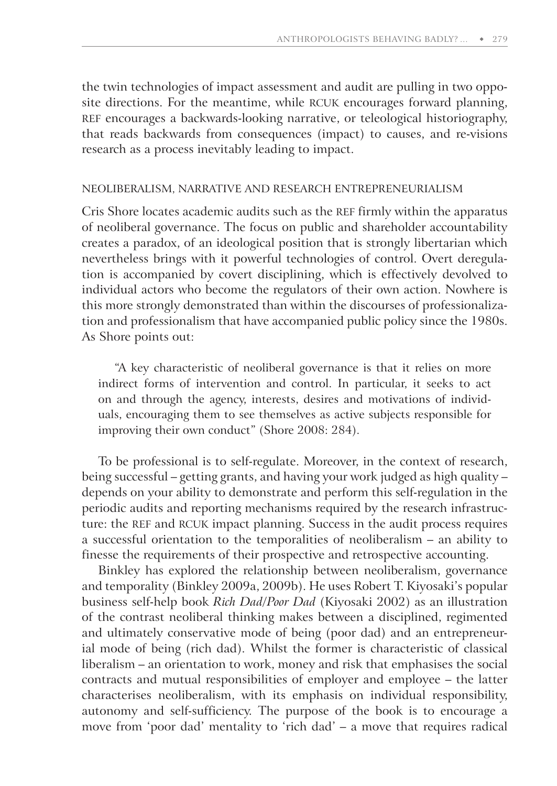the twin technologies of impact assessment and audit are pulling in two opposite directions. For the meantime, while RCUK encourages forward planning, REF encourages a backwards-looking narrative, or teleological historiography, that reads backwards from consequences (impact) to causes, and re-visions research as a process inevitably leading to impact.

#### NEOLIBERALISM, NARRATIVE AND RESEARCH ENTREPRENEURIALISM

Cris Shore locates academic audits such as the REF firmly within the apparatus of neoliberal governance. The focus on public and shareholder accountability creates a paradox, of an ideological position that is strongly libertarian which nevertheless brings with it powerful technologies of control. Overt deregulation is accompanied by covert disciplining, which is effectively devolved to individual actors who become the regulators of their own action. Nowhere is this more strongly demonstrated than within the discourses of professionalization and professionalism that have accompanied public policy since the 1980s. As Shore points out:

"A key characteristic of neoliberal governance is that it relies on more indirect forms of intervention and control. In particular, it seeks to act on and through the agency, interests, desires and motivations of individuals, encouraging them to see themselves as active subjects responsible for improving their own conduct" (Shore 2008: 284).

To be professional is to self-regulate. Moreover, in the context of research, being successful – getting grants, and having your work judged as high quality – depends on your ability to demonstrate and perform this self-regulation in the periodic audits and reporting mechanisms required by the research infrastructure: the REF and RCUK impact planning. Success in the audit process requires a successful orientation to the temporalities of neoliberalism – an ability to finesse the requirements of their prospective and retrospective accounting.

Binkley has explored the relationship between neoliberalism, governance and temporality (Binkley 2009a, 2009b). He uses Robert T. Kiyosaki's popular business self-help book *Rich Dad/Poor Dad* (Kiyosaki 2002) as an illustration of the contrast neoliberal thinking makes between a disciplined, regimented and ultimately conservative mode of being (poor dad) and an entrepreneurial mode of being (rich dad). Whilst the former is characteristic of classical liberalism – an orientation to work, money and risk that emphasises the social contracts and mutual responsibilities of employer and employee – the latter characterises neoliberalism, with its emphasis on individual responsibility, autonomy and self-sufficiency. The purpose of the book is to encourage a move from 'poor dad' mentality to 'rich dad' – a move that requires radical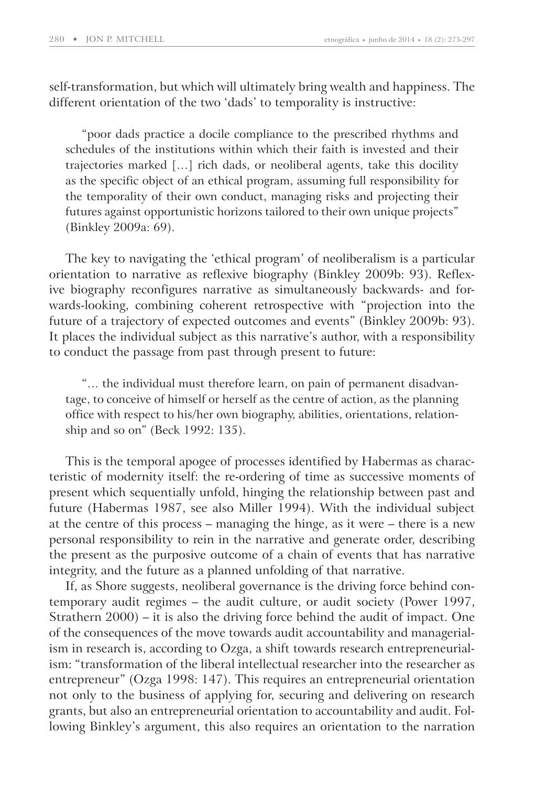self-transformation, but which will ultimately bring wealth and happiness. The different orientation of the two 'dads' to temporality is instructive:

"poor dads practice a docile compliance to the prescribed rhythms and schedules of the institutions within which their faith is invested and their trajectories marked […] rich dads, or neoliberal agents, take this docility as the specific object of an ethical program, assuming full responsibility for the temporality of their own conduct, managing risks and projecting their futures against opportunistic horizons tailored to their own unique projects" (Binkley 2009a: 69).

The key to navigating the 'ethical program' of neoliberalism is a particular orientation to narrative as reflexive biography (Binkley 2009b: 93). Reflexive biography reconfigures narrative as simultaneously backwards- and forwards-looking, combining coherent retrospective with "projection into the future of a trajectory of expected outcomes and events" (Binkley 2009b: 93). It places the individual subject as this narrative's author, with a responsibility to conduct the passage from past through present to future:

"… the individual must therefore learn, on pain of permanent disadvantage, to conceive of himself or herself as the centre of action, as the planning office with respect to his/her own biography, abilities, orientations, relationship and so on" (Beck 1992: 135).

This is the temporal apogee of processes identified by Habermas as characteristic of modernity itself: the re-ordering of time as successive moments of present which sequentially unfold, hinging the relationship between past and future (Habermas 1987, see also Miller 1994). With the individual subject at the centre of this process – managing the hinge, as it were – there is a new personal responsibility to rein in the narrative and generate order, describing the present as the purposive outcome of a chain of events that has narrative integrity, and the future as a planned unfolding of that narrative.

If, as Shore suggests, neoliberal governance is the driving force behind contemporary audit regimes – the audit culture, or audit society (Power 1997, Strathern 2000) – it is also the driving force behind the audit of impact. One of the consequences of the move towards audit accountability and managerialism in research is, according to Ozga, a shift towards research entrepreneurialism: "transformation of the liberal intellectual researcher into the researcher as entrepreneur" (Ozga 1998: 147). This requires an entrepreneurial orientation not only to the business of applying for, securing and delivering on research grants, but also an entrepreneurial orientation to accountability and audit. Following Binkley's argument, this also requires an orientation to the narration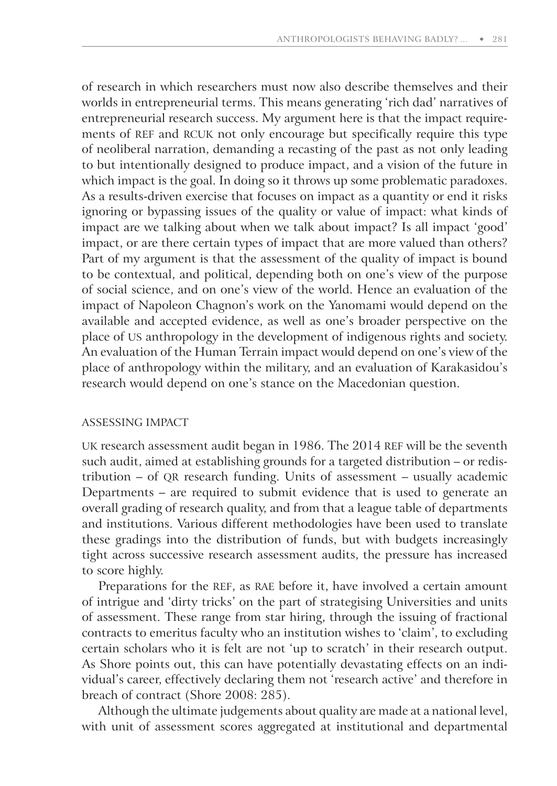of research in which researchers must now also describe themselves and their worlds in entrepreneurial terms. This means generating 'rich dad' narratives of entrepreneurial research success. My argument here is that the impact requirements of REF and RCUK not only encourage but specifically require this type of neoliberal narration, demanding a recasting of the past as not only leading to but intentionally designed to produce impact, and a vision of the future in which impact is the goal. In doing so it throws up some problematic paradoxes. As a results-driven exercise that focuses on impact as a quantity or end it risks ignoring or bypassing issues of the quality or value of impact: what kinds of impact are we talking about when we talk about impact? Is all impact 'good' impact, or are there certain types of impact that are more valued than others? Part of my argument is that the assessment of the quality of impact is bound to be contextual, and political, depending both on one's view of the purpose of social science, and on one's view of the world. Hence an evaluation of the impact of Napoleon Chagnon's work on the Yanomami would depend on the available and accepted evidence, as well as one's broader perspective on the place of US anthropology in the development of indigenous rights and society. An evaluation of the Human Terrain impact would depend on one's view of the place of anthropology within the military, and an evaluation of Karakasidou's research would depend on one's stance on the Macedonian question.

#### ASSESSING IMPACT

UK research assessment audit began in 1986. The 2014 REF will be the seventh such audit, aimed at establishing grounds for a targeted distribution – or redistribution – of QR research funding. Units of assessment – usually academic Departments – are required to submit evidence that is used to generate an overall grading of research quality, and from that a league table of departments and institutions. Various different methodologies have been used to translate these gradings into the distribution of funds, but with budgets increasingly tight across successive research assessment audits, the pressure has increased to score highly.

Preparations for the REF, as RAE before it, have involved a certain amount of intrigue and 'dirty tricks' on the part of strategising Universities and units of assessment. These range from star hiring, through the issuing of fractional contracts to emeritus faculty who an institution wishes to 'claim', to excluding certain scholars who it is felt are not 'up to scratch' in their research output. As Shore points out, this can have potentially devastating effects on an individual's career, effectively declaring them not 'research active' and therefore in breach of contract (Shore 2008: 285).

Although the ultimate judgements about quality are made at a national level, with unit of assessment scores aggregated at institutional and departmental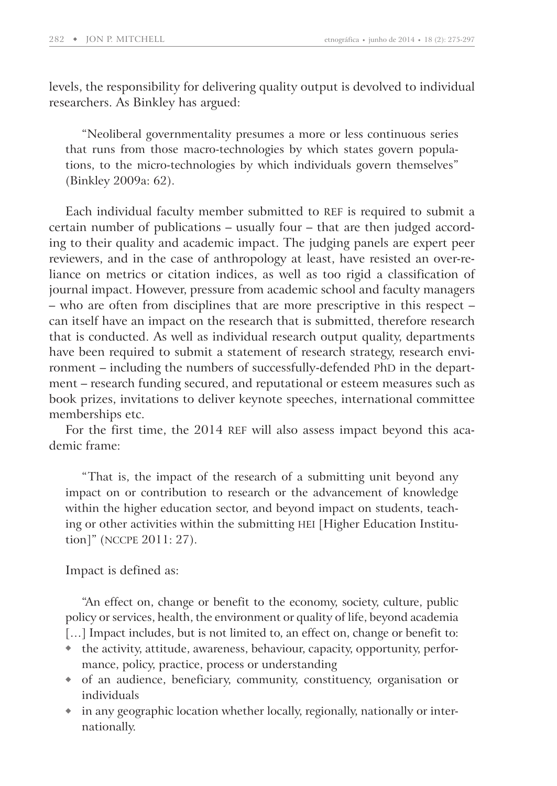levels, the responsibility for delivering quality output is devolved to individual researchers. As Binkley has argued:

"Neoliberal governmentality presumes a more or less continuous series that runs from those macro-technologies by which states govern populations, to the micro-technologies by which individuals govern themselves" (Binkley 2009a: 62).

Each individual faculty member submitted to REF is required to submit a certain number of publications – usually four – that are then judged according to their quality and academic impact. The judging panels are expert peer reviewers, and in the case of anthropology at least, have resisted an over-reliance on metrics or citation indices, as well as too rigid a classification of journal impact. However, pressure from academic school and faculty managers – who are often from disciplines that are more prescriptive in this respect – can itself have an impact on the research that is submitted, therefore research that is conducted. As well as individual research output quality, departments have been required to submit a statement of research strategy, research environment – including the numbers of successfully-defended PhD in the department – research funding secured, and reputational or esteem measures such as book prizes, invitations to deliver keynote speeches, international committee memberships etc.

For the first time, the 2014 REF will also assess impact beyond this academic frame:

"That is, the impact of the research of a submitting unit beyond any impact on or contribution to research or the advancement of knowledge within the higher education sector, and beyond impact on students, teaching or other activities within the submitting HEI [Higher Education Institution]" (NCCPE 2011: 27).

Impact is defined as:

"An effect on, change or benefit to the economy, society, culture, public policy or services, health, the environment or quality of life, beyond academia [...] Impact includes, but is not limited to, an effect on, change or benefit to:

- the activity, attitude, awareness, behaviour, capacity, opportunity, performance, policy, practice, process or understanding
- of an audience, beneficiary, community, constituency, organisation or individuals
- in any geographic location whether locally, regionally, nationally or internationally.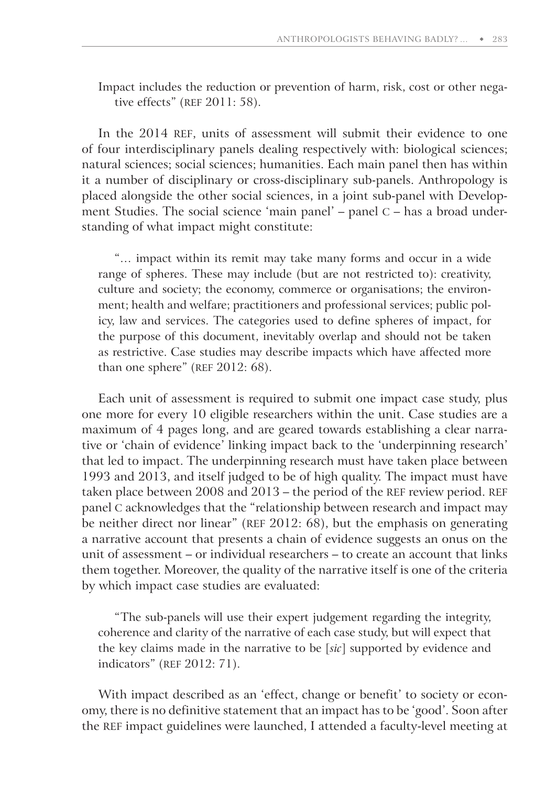Impact includes the reduction or prevention of harm, risk, cost or other negative effects" (REF 2011: 58).

In the 2014 REF, units of assessment will submit their evidence to one of four interdisciplinary panels dealing respectively with: biological sciences; natural sciences; social sciences; humanities. Each main panel then has within it a number of disciplinary or cross-disciplinary sub-panels. Anthropology is placed alongside the other social sciences, in a joint sub-panel with Development Studies. The social science 'main panel' – panel C – has a broad understanding of what impact might constitute:

"… impact within its remit may take many forms and occur in a wide range of spheres. These may include (but are not restricted to): creativity, culture and society; the economy, commerce or organisations; the environment; health and welfare; practitioners and professional services; public policy, law and services. The categories used to define spheres of impact, for the purpose of this document, inevitably overlap and should not be taken as restrictive. Case studies may describe impacts which have affected more than one sphere" (REF 2012: 68).

Each unit of assessment is required to submit one impact case study, plus one more for every 10 eligible researchers within the unit. Case studies are a maximum of 4 pages long, and are geared towards establishing a clear narrative or 'chain of evidence' linking impact back to the 'underpinning research' that led to impact. The underpinning research must have taken place between 1993 and 2013, and itself judged to be of high quality. The impact must have taken place between 2008 and 2013 – the period of the REF review period. REF panel C acknowledges that the "relationship between research and impact may be neither direct nor linear" (REF 2012: 68), but the emphasis on generating a narrative account that presents a chain of evidence suggests an onus on the unit of assessment – or individual researchers – to create an account that links them together. Moreover, the quality of the narrative itself is one of the criteria by which impact case studies are evaluated:

"The sub-panels will use their expert judgement regarding the integrity, coherence and clarity of the narrative of each case study, but will expect that the key claims made in the narrative to be [*sic*] supported by evidence and indicators" (REF 2012: 71).

With impact described as an 'effect, change or benefit' to society or economy, there is no definitive statement that an impact has to be 'good'. Soon after the REF impact guidelines were launched, I attended a faculty-level meeting at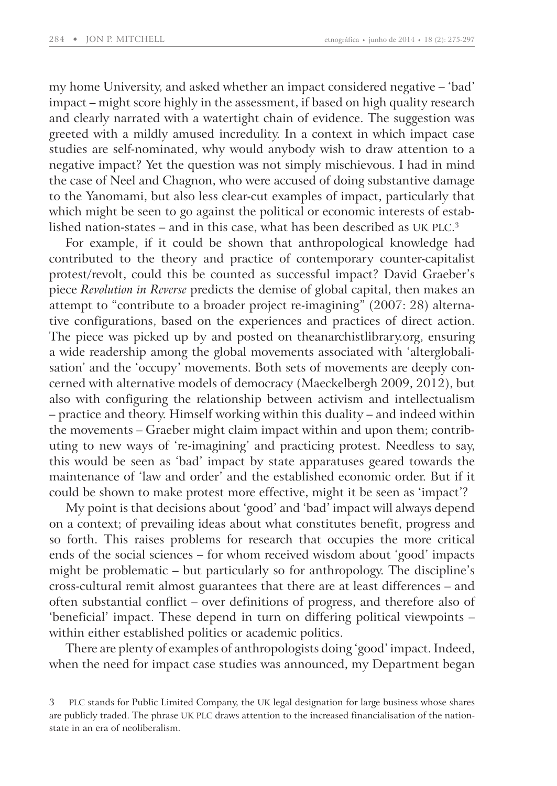my home University, and asked whether an impact considered negative – 'bad' impact – might score highly in the assessment, if based on high quality research and clearly narrated with a watertight chain of evidence. The suggestion was greeted with a mildly amused incredulity. In a context in which impact case studies are self-nominated, why would anybody wish to draw attention to a negative impact? Yet the question was not simply mischievous. I had in mind the case of Neel and Chagnon, who were accused of doing substantive damage to the Yanomami, but also less clear-cut examples of impact, particularly that which might be seen to go against the political or economic interests of established nation-states – and in this case, what has been described as UK PLC. 3

For example, if it could be shown that anthropological knowledge had contributed to the theory and practice of contemporary counter-capitalist protest/revolt, could this be counted as successful impact? David Graeber's piece *Revolution in Reverse* predicts the demise of global capital, then makes an attempt to "contribute to a broader project re-imagining" (2007: 28) alternative configurations, based on the experiences and practices of direct action. The piece was picked up by and posted on theanarchistlibrary.org, ensuring a wide readership among the global movements associated with 'alterglobalisation' and the 'occupy' movements. Both sets of movements are deeply concerned with alternative models of democracy (Maeckelbergh 2009, 2012), but also with configuring the relationship between activism and intellectualism – practice and theory. Himself working within this duality – and indeed within the movements – Graeber might claim impact within and upon them; contributing to new ways of 're-imagining' and practicing protest. Needless to say, this would be seen as 'bad' impact by state apparatuses geared towards the maintenance of 'law and order' and the established economic order. But if it could be shown to make protest more effective, might it be seen as 'impact'?

My point is that decisions about 'good' and 'bad' impact will always depend on a context; of prevailing ideas about what constitutes benefit, progress and so forth. This raises problems for research that occupies the more critical ends of the social sciences – for whom received wisdom about 'good' impacts might be problematic – but particularly so for anthropology. The discipline's cross-cultural remit almost guarantees that there are at least differences – and often substantial conflict – over definitions of progress, and therefore also of 'beneficial' impact. These depend in turn on differing political viewpoints – within either established politics or academic politics.

There are plenty of examples of anthropologists doing 'good' impact. Indeed, when the need for impact case studies was announced, my Department began

<sup>3</sup> PLC stands for Public Limited Company, the UK legal designation for large business whose shares are publicly traded. The phrase UK PLC draws attention to the increased financialisation of the nationstate in an era of neoliberalism.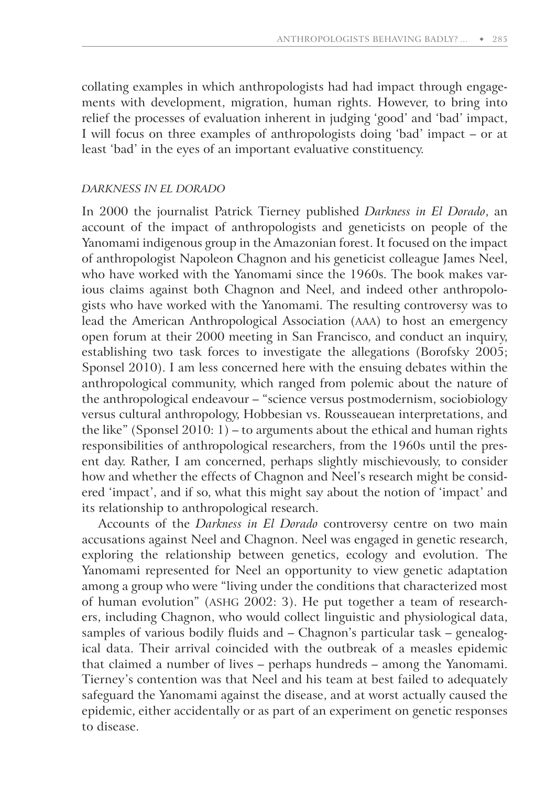collating examples in which anthropologists had had impact through engagements with development, migration, human rights. However, to bring into relief the processes of evaluation inherent in judging 'good' and 'bad' impact, I will focus on three examples of anthropologists doing 'bad' impact – or at least 'bad' in the eyes of an important evaluative constituency.

#### *DARKNESS IN EL DORADO*

In 2000 the journalist Patrick Tierney published *Darkness in El Dorado*, an account of the impact of anthropologists and geneticists on people of the Yanomami indigenous group in the Amazonian forest. It focused on the impact of anthropologist Napoleon Chagnon and his geneticist colleague James Neel, who have worked with the Yanomami since the 1960s. The book makes various claims against both Chagnon and Neel, and indeed other anthropologists who have worked with the Yanomami. The resulting controversy was to lead the American Anthropological Association (AAA) to host an emergency open forum at their 2000 meeting in San Francisco, and conduct an inquiry, establishing two task forces to investigate the allegations (Borofsky 2005; Sponsel 2010). I am less concerned here with the ensuing debates within the anthropological community, which ranged from polemic about the nature of the anthropological endeavour – "science versus postmodernism, sociobiology versus cultural anthropology, Hobbesian vs. Rousseauean interpretations, and the like" (Sponsel 2010: 1) – to arguments about the ethical and human rights responsibilities of anthropological researchers, from the 1960s until the present day. Rather, I am concerned, perhaps slightly mischievously, to consider how and whether the effects of Chagnon and Neel's research might be considered 'impact', and if so, what this might say about the notion of 'impact' and its relationship to anthropological research.

Accounts of the *Darkness in El Dorado* controversy centre on two main accusations against Neel and Chagnon. Neel was engaged in genetic research, exploring the relationship between genetics, ecology and evolution. The Yanomami represented for Neel an opportunity to view genetic adaptation among a group who were "living under the conditions that characterized most of human evolution" (ASHG 2002: 3). He put together a team of researchers, including Chagnon, who would collect linguistic and physiological data, samples of various bodily fluids and – Chagnon's particular task – genealogical data. Their arrival coincided with the outbreak of a measles epidemic that claimed a number of lives – perhaps hundreds – among the Yanomami. Tierney's contention was that Neel and his team at best failed to adequately safeguard the Yanomami against the disease, and at worst actually caused the epidemic, either accidentally or as part of an experiment on genetic responses to disease.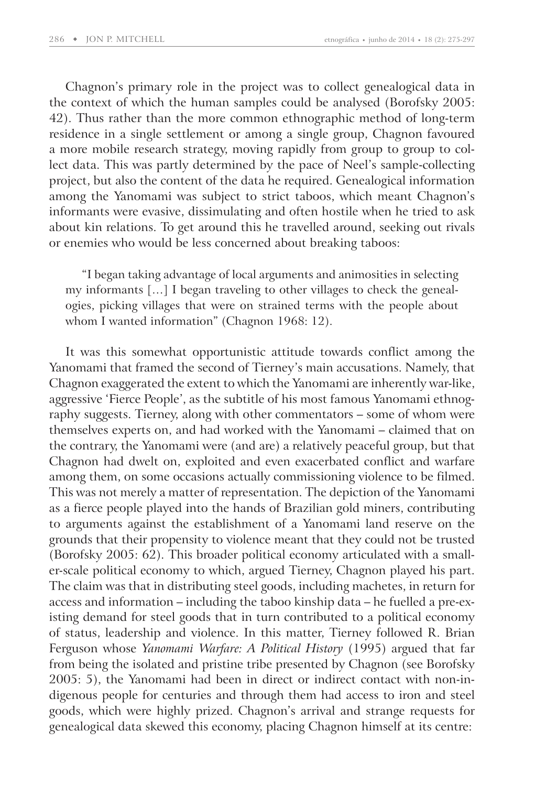Chagnon's primary role in the project was to collect genealogical data in the context of which the human samples could be analysed (Borofsky 2005: 42). Thus rather than the more common ethnographic method of long-term residence in a single settlement or among a single group, Chagnon favoured a more mobile research strategy, moving rapidly from group to group to collect data. This was partly determined by the pace of Neel's sample-collecting project, but also the content of the data he required. Genealogical information among the Yanomami was subject to strict taboos, which meant Chagnon's informants were evasive, dissimulating and often hostile when he tried to ask about kin relations. To get around this he travelled around, seeking out rivals or enemies who would be less concerned about breaking taboos:

"I began taking advantage of local arguments and animosities in selecting my informants […] I began traveling to other villages to check the genealogies, picking villages that were on strained terms with the people about whom I wanted information" (Chagnon 1968: 12).

It was this somewhat opportunistic attitude towards conflict among the Yanomami that framed the second of Tierney's main accusations. Namely, that Chagnon exaggerated the extent to which the Yanomami are inherently war-like, aggressive 'Fierce People', as the subtitle of his most famous Yanomami ethnography suggests. Tierney, along with other commentators – some of whom were themselves experts on, and had worked with the Yanomami – claimed that on the contrary, the Yanomami were (and are) a relatively peaceful group, but that Chagnon had dwelt on, exploited and even exacerbated conflict and warfare among them, on some occasions actually commissioning violence to be filmed. This was not merely a matter of representation. The depiction of the Yanomami as a fierce people played into the hands of Brazilian gold miners, contributing to arguments against the establishment of a Yanomami land reserve on the grounds that their propensity to violence meant that they could not be trusted (Borofsky 2005: 62). This broader political economy articulated with a smaller-scale political economy to which, argued Tierney, Chagnon played his part. The claim was that in distributing steel goods, including machetes, in return for access and information – including the taboo kinship data – he fuelled a pre-existing demand for steel goods that in turn contributed to a political economy of status, leadership and violence. In this matter, Tierney followed R. Brian Ferguson whose *Yanomami Warfare: A Political History* (1995) argued that far from being the isolated and pristine tribe presented by Chagnon (see Borofsky 2005: 5), the Yanomami had been in direct or indirect contact with non-indigenous people for centuries and through them had access to iron and steel goods, which were highly prized. Chagnon's arrival and strange requests for genealogical data skewed this economy, placing Chagnon himself at its centre: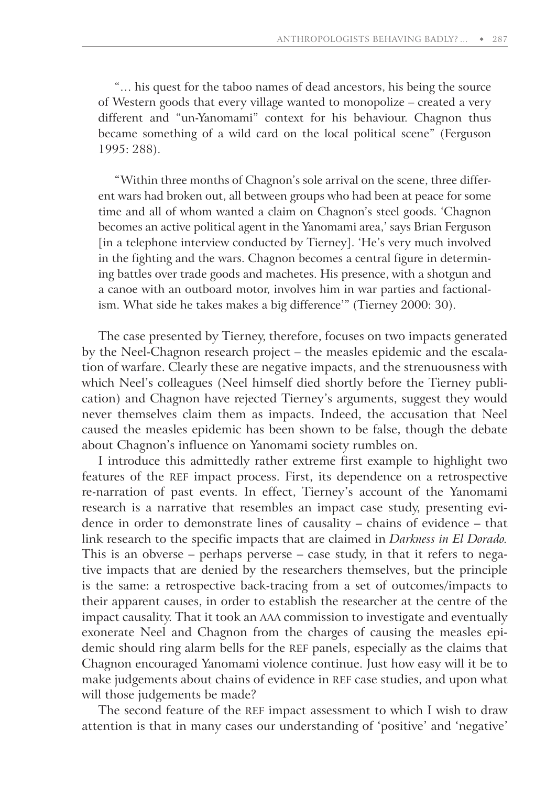"… his quest for the taboo names of dead ancestors, his being the source of Western goods that every village wanted to monopolize – created a very different and "un-Yanomami" context for his behaviour. Chagnon thus became something of a wild card on the local political scene" (Ferguson 1995: 288).

"Within three months of Chagnon's sole arrival on the scene, three different wars had broken out, all between groups who had been at peace for some time and all of whom wanted a claim on Chagnon's steel goods. 'Chagnon becomes an active political agent in the Yanomami area,' says Brian Ferguson [in a telephone interview conducted by Tierney]. 'He's very much involved in the fighting and the wars. Chagnon becomes a central figure in determining battles over trade goods and machetes. His presence, with a shotgun and a canoe with an outboard motor, involves him in war parties and factionalism. What side he takes makes a big difference'" ( Tierney 2000: 30).

The case presented by Tierney, therefore, focuses on two impacts generated by the Neel-Chagnon research project – the measles epidemic and the escalation of warfare. Clearly these are negative impacts, and the strenuousness with which Neel's colleagues (Neel himself died shortly before the Tierney publication) and Chagnon have rejected Tierney's arguments, suggest they would never themselves claim them as impacts. Indeed, the accusation that Neel caused the measles epidemic has been shown to be false, though the debate about Chagnon's influence on Yanomami society rumbles on.

I introduce this admittedly rather extreme first example to highlight two features of the REF impact process. First, its dependence on a retrospective re-narration of past events. In effect, Tierney's account of the Yanomami research is a narrative that resembles an impact case study, presenting evidence in order to demonstrate lines of causality – chains of evidence – that link research to the specific impacts that are claimed in *Darkness in El Dorado.* This is an obverse – perhaps perverse – case study, in that it refers to negative impacts that are denied by the researchers themselves, but the principle is the same: a retrospective back-tracing from a set of outcomes/impacts to their apparent causes, in order to establish the researcher at the centre of the impact causality. That it took an AAA commission to investigate and eventually exonerate Neel and Chagnon from the charges of causing the measles epidemic should ring alarm bells for the REF panels, especially as the claims that Chagnon encouraged Yanomami violence continue. Just how easy will it be to make judgements about chains of evidence in REF case studies, and upon what will those judgements be made?

The second feature of the REF impact assessment to which I wish to draw attention is that in many cases our understanding of 'positive' and 'negative'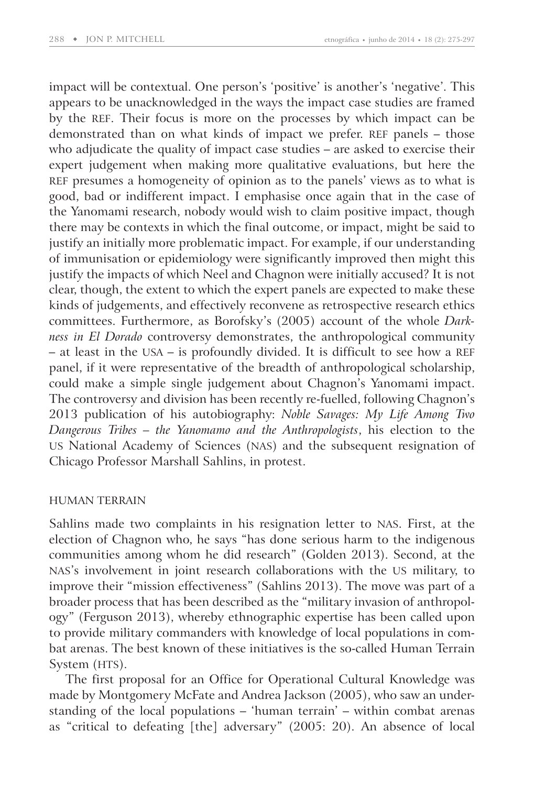impact will be contextual. One person's 'positive' is another's 'negative'. This appears to be unacknowledged in the ways the impact case studies are framed by the REF. Their focus is more on the processes by which impact can be demonstrated than on what kinds of impact we prefer. REF panels – those who adjudicate the quality of impact case studies – are asked to exercise their expert judgement when making more qualitative evaluations, but here the REF presumes a homogeneity of opinion as to the panels' views as to what is good, bad or indifferent impact. I emphasise once again that in the case of the Yanomami research, nobody would wish to claim positive impact, though there may be contexts in which the final outcome, or impact, might be said to justify an initially more problematic impact. For example, if our understanding of immunisation or epidemiology were significantly improved then might this justify the impacts of which Neel and Chagnon were initially accused? It is not clear, though, the extent to which the expert panels are expected to make these kinds of judgements, and effectively reconvene as retrospective research ethics committees. Furthermore, as Borofsky's (2005) account of the whole *Darkness in El Dorado* controversy demonstrates, the anthropological community – at least in the USA – is profoundly divided. It is difficult to see how a REF panel, if it were representative of the breadth of anthropological scholarship, could make a simple single judgement about Chagnon's Yanomami impact. The controversy and division has been recently re-fuelled, following Chagnon's 2013 publication of his autobiography: *Noble Savages: My Life Among Two Dangerous Tribes – the Yanomamo and the Anthropologists*, his election to the US National Academy of Sciences (NAS) and the subsequent resignation of Chicago Professor Marshall Sahlins, in protest.

#### HUMAN TERRAIN

Sahlins made two complaints in his resignation letter to NAS. First, at the election of Chagnon who, he says "has done serious harm to the indigenous communities among whom he did research" (Golden 2013). Second, at the NAS's involvement in joint research collaborations with the US military, to improve their "mission effectiveness" (Sahlins 2013). The move was part of a broader process that has been described as the "military invasion of anthropology" (Ferguson 2013), whereby ethnographic expertise has been called upon to provide military commanders with knowledge of local populations in combat arenas. The best known of these initiatives is the so-called Human Terrain System (HTS).

The first proposal for an Office for Operational Cultural Knowledge was made by Montgomery McFate and Andrea Jackson (2005), who saw an understanding of the local populations – 'human terrain' – within combat arenas as "critical to defeating [the] adversary" (2005: 20). An absence of local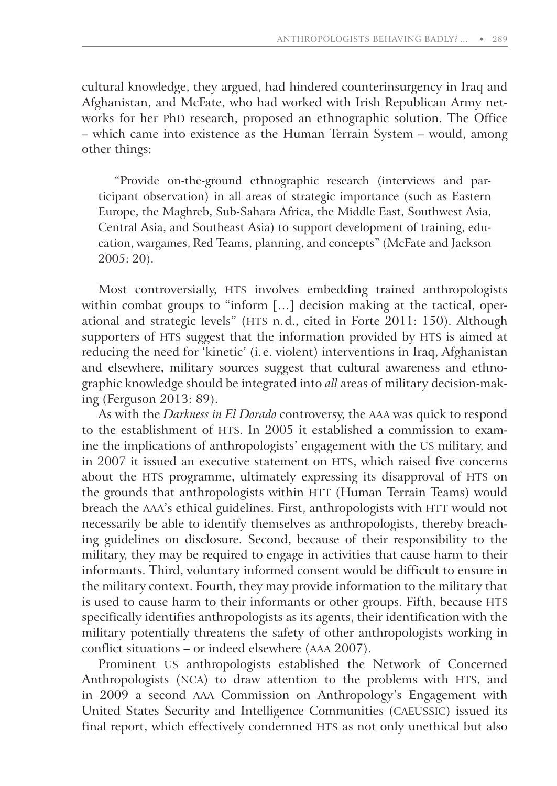cultural knowledge, they argued, had hindered counterinsurgency in Iraq and Afghanistan, and McFate, who had worked with Irish Republican Army networks for her PhD research, proposed an ethnographic solution. The Office – which came into existence as the Human Terrain System – would, among other things:

"Provide on-the-ground ethnographic research (interviews and participant observation) in all areas of strategic importance (such as Eastern Europe, the Maghreb, Sub-Sahara Africa, the Middle East, Southwest Asia, Central Asia, and Southeast Asia) to support development of training, education, wargames, Red Teams, planning, and concepts" (McFate and Jackson 2005: 20).

Most controversially, HTS involves embedding trained anthropologists within combat groups to "inform [...] decision making at the tactical, operational and strategic levels" (HTS n. d., cited in Forte 2011: 150). Although supporters of HTS suggest that the information provided by HTS is aimed at reducing the need for 'kinetic' (i. e. violent) interventions in Iraq, Afghanistan and elsewhere, military sources suggest that cultural awareness and ethnographic knowledge should be integrated into *all* areas of military decision-making (Ferguson 2013: 89).

As with the *Darkness in El Dorado* controversy, the AAA was quick to respond to the establishment of HTS. In 2005 it established a commission to examine the implications of anthropologists' engagement with the US military, and in 2007 it issued an executive statement on HTS, which raised five concerns about the HTS programme, ultimately expressing its disapproval of HTS on the grounds that anthropologists within HTT (Human Terrain Teams) would breach the AAA's ethical guidelines. First, anthropologists with HTT would not necessarily be able to identify themselves as anthropologists, thereby breaching guidelines on disclosure. Second, because of their responsibility to the military, they may be required to engage in activities that cause harm to their informants. Third, voluntary informed consent would be difficult to ensure in the military context. Fourth, they may provide information to the military that is used to cause harm to their informants or other groups. Fifth, because HTS specifically identifies anthropologists as its agents, their identification with the military potentially threatens the safety of other anthropologists working in conflict situations – or indeed elsewhere (AAA 2007).

Prominent US anthropologists established the Network of Concerned Anthropologists (NCA) to draw attention to the problems with HTS, and in 2009 a second AAA Commission on Anthropology's Engagement with United States Security and Intelligence Communities (CAEUSSIC) issued its final report, which effectively condemned HTS as not only unethical but also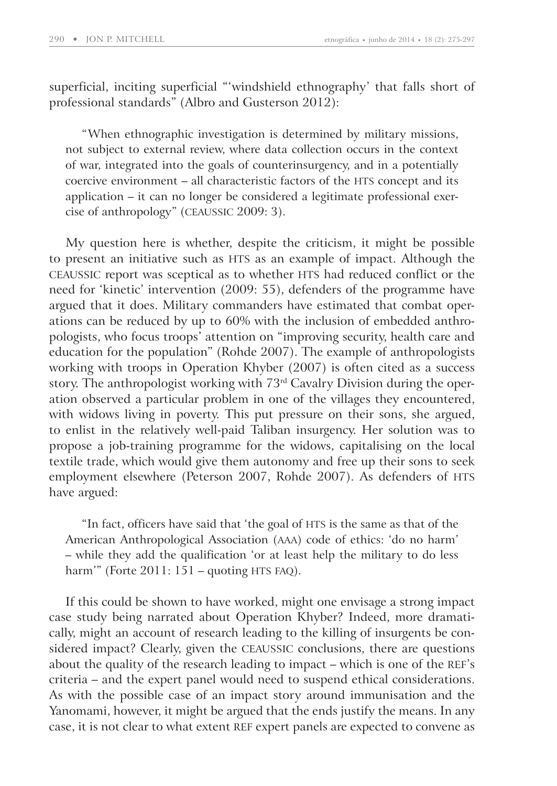superficial, inciting superficial "'windshield ethnography' that falls short of professional standards" (Albro and Gusterson 2012):

"When ethnographic investigation is determined by military missions, not subject to external review, where data collection occurs in the context of war, integrated into the goals of counterinsurgency, and in a potentially coercive environment – all characteristic factors of the HTS concept and its application – it can no longer be considered a legitimate professional exercise of anthropology" (CEAUSSIC 2009: 3).

My question here is whether, despite the criticism, it might be possible to present an initiative such as HTS as an example of impact. Although the CEAUSSIC report was sceptical as to whether HTS had reduced conflict or the need for 'kinetic' intervention (2009: 55), defenders of the programme have argued that it does. Military commanders have estimated that combat operations can be reduced by up to 60% with the inclusion of embedded anthropologists, who focus troops' attention on "improving security, health care and education for the population" (Rohde 2007). The example of anthropologists working with troops in Operation Khyber (2007) is often cited as a success story. The anthropologist working with 73rd Cavalry Division during the operation observed a particular problem in one of the villages they encountered, with widows living in poverty. This put pressure on their sons, she argued, to enlist in the relatively well-paid Taliban insurgency. Her solution was to propose a job-training programme for the widows, capitalising on the local textile trade, which would give them autonomy and free up their sons to seek employment elsewhere (Peterson 2007, Rohde 2007). As defenders of HTS have argued:

"In fact, officers have said that 'the goal of HTS is the same as that of the American Anthropological Association (AAA) code of ethics: 'do no harm' – while they add the qualification 'or at least help the military to do less harm'" (Forte 2011: 151 – quoting HTS FAQ).

If this could be shown to have worked, might one envisage a strong impact case study being narrated about Operation Khyber? Indeed, more dramatically, might an account of research leading to the killing of insurgents be considered impact? Clearly, given the CEAUSSIC conclusions, there are questions about the quality of the research leading to impact – which is one of the REF's criteria – and the expert panel would need to suspend ethical considerations. As with the possible case of an impact story around immunisation and the Yanomami, however, it might be argued that the ends justify the means. In any case, it is not clear to what extent REF expert panels are expected to convene as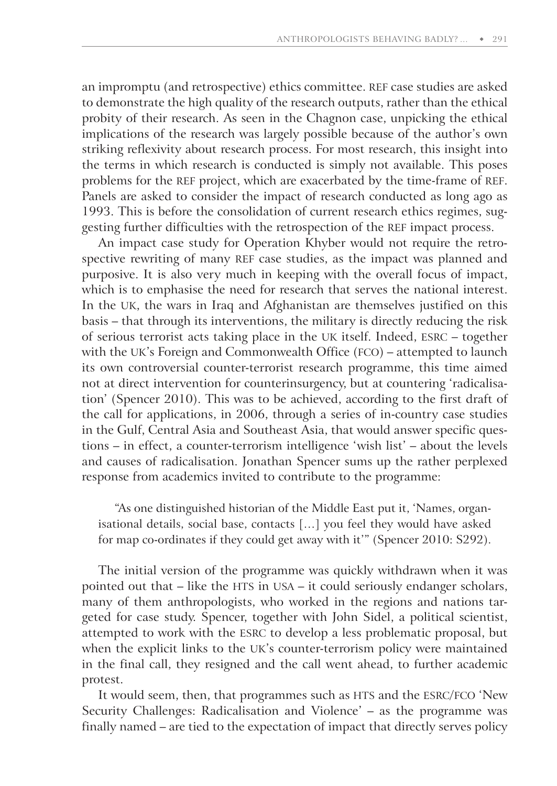an impromptu (and retrospective) ethics committee. REF case studies are asked to demonstrate the high quality of the research outputs, rather than the ethical probity of their research. As seen in the Chagnon case, unpicking the ethical implications of the research was largely possible because of the author's own striking reflexivity about research process. For most research, this insight into the terms in which research is conducted is simply not available. This poses problems for the REF project, which are exacerbated by the time-frame of REF. Panels are asked to consider the impact of research conducted as long ago as 1993. This is before the consolidation of current research ethics regimes, suggesting further difficulties with the retrospection of the REF impact process.

An impact case study for Operation Khyber would not require the retrospective rewriting of many REF case studies, as the impact was planned and purposive. It is also very much in keeping with the overall focus of impact, which is to emphasise the need for research that serves the national interest. In the UK, the wars in Iraq and Afghanistan are themselves justified on this basis – that through its interventions, the military is directly reducing the risk of serious terrorist acts taking place in the UK itself. Indeed, ESRC – together with the UK's Foreign and Commonwealth Office (FCO) – attempted to launch its own controversial counter-terrorist research programme, this time aimed not at direct intervention for counterinsurgency, but at countering 'radicalisation' (Spencer 2010). This was to be achieved, according to the first draft of the call for applications, in 2006, through a series of in-country case studies in the Gulf, Central Asia and Southeast Asia, that would answer specific questions – in effect, a counter-terrorism intelligence 'wish list' – about the levels and causes of radicalisation. Jonathan Spencer sums up the rather perplexed response from academics invited to contribute to the programme:

"As one distinguished historian of the Middle East put it, 'Names, organisational details, social base, contacts […] you feel they would have asked for map co-ordinates if they could get away with it'" (Spencer 2010: S292).

The initial version of the programme was quickly withdrawn when it was pointed out that – like the HTS in USA – it could seriously endanger scholars, many of them anthropologists, who worked in the regions and nations targeted for case study. Spencer, together with John Sidel, a political scientist, attempted to work with the ESRC to develop a less problematic proposal, but when the explicit links to the UK's counter-terrorism policy were maintained in the final call, they resigned and the call went ahead, to further academic protest.

It would seem, then, that programmes such as HTS and the ESRC/FCO 'New Security Challenges: Radicalisation and Violence' – as the programme was finally named – are tied to the expectation of impact that directly serves policy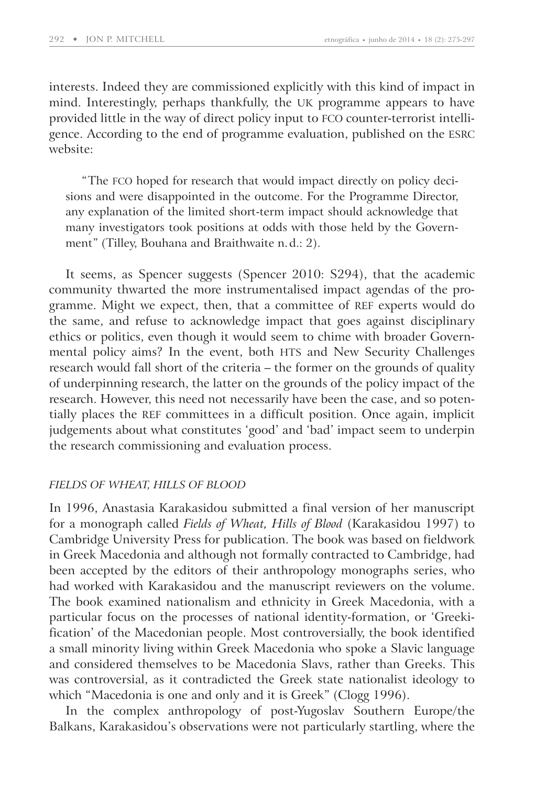interests. Indeed they are commissioned explicitly with this kind of impact in mind. Interestingly, perhaps thankfully, the UK programme appears to have provided little in the way of direct policy input to FCO counter-terrorist intelligence. According to the end of programme evaluation, published on the ESRC website:

"The FCO hoped for research that would impact directly on policy decisions and were disappointed in the outcome. For the Programme Director, any explanation of the limited short-term impact should acknowledge that many investigators took positions at odds with those held by the Government" (Tilley, Bouhana and Braithwaite n. d.: 2).

It seems, as Spencer suggests (Spencer 2010: S294), that the academic community thwarted the more instrumentalised impact agendas of the programme. Might we expect, then, that a committee of REF experts would do the same, and refuse to acknowledge impact that goes against disciplinary ethics or politics, even though it would seem to chime with broader Governmental policy aims? In the event, both HTS and New Security Challenges research would fall short of the criteria – the former on the grounds of quality of underpinning research, the latter on the grounds of the policy impact of the research. However, this need not necessarily have been the case, and so potentially places the REF committees in a difficult position. Once again, implicit judgements about what constitutes 'good' and 'bad' impact seem to underpin the research commissioning and evaluation process.

#### *FIELDS OF WHEAT, HILLS OF BLOOD*

In 1996, Anastasia Karakasidou submitted a final version of her manuscript for a monograph called *Fields of Wheat, Hills of Blood* (Karakasidou 1997) to Cambridge University Press for publication. The book was based on fieldwork in Greek Macedonia and although not formally contracted to Cambridge, had been accepted by the editors of their anthropology monographs series, who had worked with Karakasidou and the manuscript reviewers on the volume. The book examined nationalism and ethnicity in Greek Macedonia, with a particular focus on the processes of national identity-formation, or 'Greekification' of the Macedonian people. Most controversially, the book identified a small minority living within Greek Macedonia who spoke a Slavic language and considered themselves to be Macedonia Slavs, rather than Greeks. This was controversial, as it contradicted the Greek state nationalist ideology to which "Macedonia is one and only and it is Greek" (Clogg 1996).

In the complex anthropology of post-Yugoslav Southern Europe/the Balkans, Karakasidou's observations were not particularly startling, where the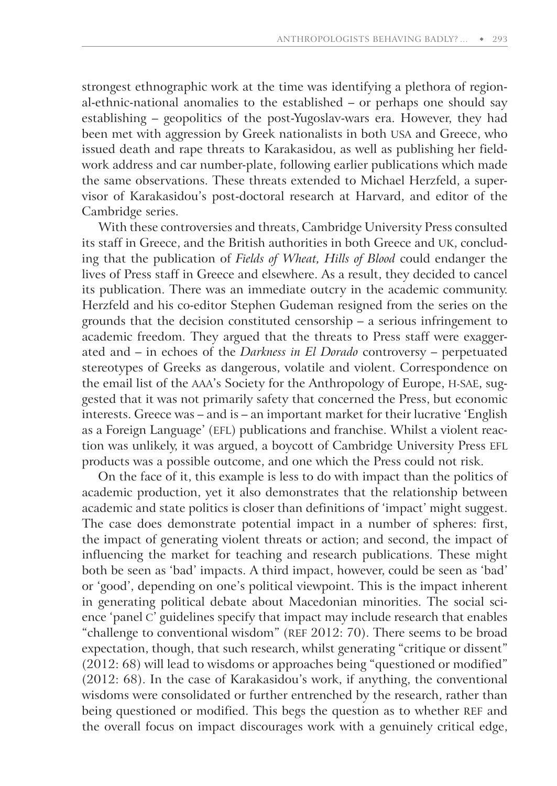strongest ethnographic work at the time was identifying a plethora of regional-ethnic-national anomalies to the established – or perhaps one should say establishing – geopolitics of the post-Yugoslav-wars era. However, they had been met with aggression by Greek nationalists in both USA and Greece, who issued death and rape threats to Karakasidou, as well as publishing her fieldwork address and car number-plate, following earlier publications which made the same observations. These threats extended to Michael Herzfeld, a supervisor of Karakasidou's post-doctoral research at Harvard, and editor of the Cambridge series.

With these controversies and threats, Cambridge University Press consulted its staff in Greece, and the British authorities in both Greece and UK, concluding that the publication of *Fields of Wheat, Hills of Blood* could endanger the lives of Press staff in Greece and elsewhere. As a result, they decided to cancel its publication. There was an immediate outcry in the academic community. Herzfeld and his co-editor Stephen Gudeman resigned from the series on the grounds that the decision constituted censorship – a serious infringement to academic freedom. They argued that the threats to Press staff were exaggerated and – in echoes of the *Darkness in El Dorado* controversy – perpetuated stereotypes of Greeks as dangerous, volatile and violent. Correspondence on the email list of the AAA's Society for the Anthropology of Europe, H-SAE, suggested that it was not primarily safety that concerned the Press, but economic interests. Greece was – and is – an important market for their lucrative 'English as a Foreign Language' (EFL) publications and franchise. Whilst a violent reaction was unlikely, it was argued, a boycott of Cambridge University Press EFL products was a possible outcome, and one which the Press could not risk.

On the face of it, this example is less to do with impact than the politics of academic production, yet it also demonstrates that the relationship between academic and state politics is closer than definitions of 'impact' might suggest. The case does demonstrate potential impact in a number of spheres: first, the impact of generating violent threats or action; and second, the impact of influencing the market for teaching and research publications. These might both be seen as 'bad' impacts. A third impact, however, could be seen as 'bad' or 'good', depending on one's political viewpoint. This is the impact inherent in generating political debate about Macedonian minorities. The social science 'panel C' guidelines specify that impact may include research that enables "challenge to conventional wisdom" (REF 2012: 70). There seems to be broad expectation, though, that such research, whilst generating "critique or dissent" (2012: 68) will lead to wisdoms or approaches being "questioned or modified" (2012: 68). In the case of Karakasidou's work, if anything, the conventional wisdoms were consolidated or further entrenched by the research, rather than being questioned or modified. This begs the question as to whether REF and the overall focus on impact discourages work with a genuinely critical edge,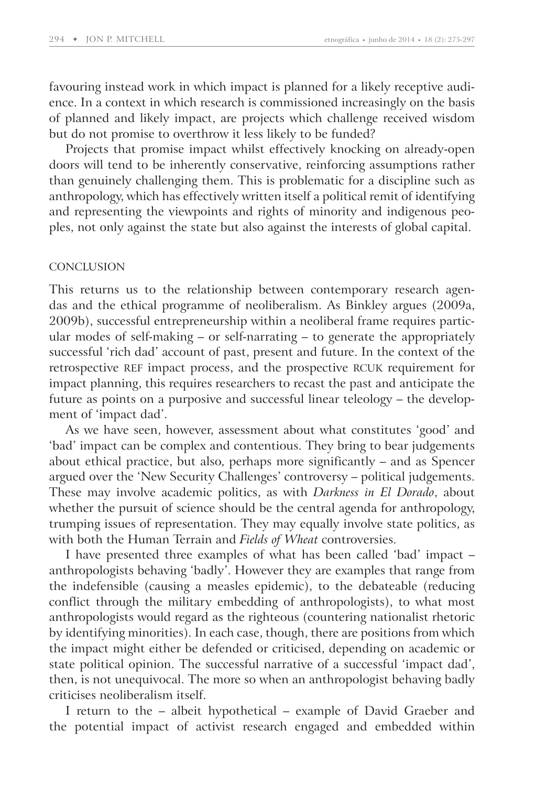favouring instead work in which impact is planned for a likely receptive audience. In a context in which research is commissioned increasingly on the basis of planned and likely impact, are projects which challenge received wisdom but do not promise to overthrow it less likely to be funded?

Projects that promise impact whilst effectively knocking on already-open doors will tend to be inherently conservative, reinforcing assumptions rather than genuinely challenging them. This is problematic for a discipline such as anthropology, which has effectively written itself a political remit of identifying and representing the viewpoints and rights of minority and indigenous peoples, not only against the state but also against the interests of global capital.

#### **CONCLUSION**

This returns us to the relationship between contemporary research agendas and the ethical programme of neoliberalism. As Binkley argues (2009a, 2009b), successful entrepreneurship within a neoliberal frame requires particular modes of self-making – or self-narrating – to generate the appropriately successful 'rich dad' account of past, present and future. In the context of the retrospective REF impact process, and the prospective RCUK requirement for impact planning, this requires researchers to recast the past and anticipate the future as points on a purposive and successful linear teleology – the development of 'impact dad'.

As we have seen, however, assessment about what constitutes 'good' and 'bad' impact can be complex and contentious. They bring to bear judgements about ethical practice, but also, perhaps more significantly – and as Spencer argued over the 'New Security Challenges' controversy – political judgements. These may involve academic politics, as with *Darkness in El Dorado*, about whether the pursuit of science should be the central agenda for anthropology, trumping issues of representation. They may equally involve state politics, as with both the Human Terrain and *Fields of Wheat* controversies.

I have presented three examples of what has been called 'bad' impact – anthropologists behaving 'badly'. However they are examples that range from the indefensible (causing a measles epidemic), to the debateable (reducing conflict through the military embedding of anthropologists), to what most anthropologists would regard as the righteous (countering nationalist rhetoric by identifying minorities). In each case, though, there are positions from which the impact might either be defended or criticised, depending on academic or state political opinion. The successful narrative of a successful 'impact dad', then, is not unequivocal. The more so when an anthropologist behaving badly criticises neoliberalism itself.

I return to the – albeit hypothetical – example of David Graeber and the potential impact of activist research engaged and embedded within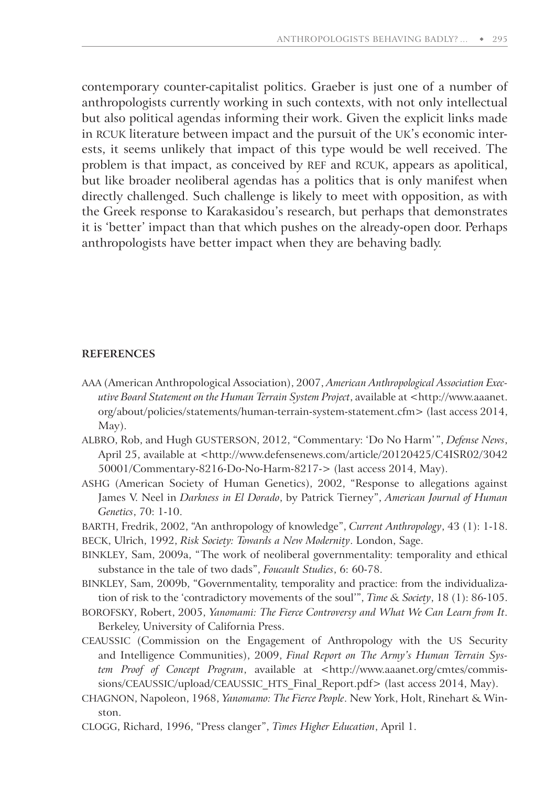contemporary counter-capitalist politics. Graeber is just one of a number of anthropologists currently working in such contexts, with not only intellectual but also political agendas informing their work. Given the explicit links made in RCUK literature between impact and the pursuit of the UK's economic interests, it seems unlikely that impact of this type would be well received. The problem is that impact, as conceived by REF and RCUK, appears as apolitical, but like broader neoliberal agendas has a politics that is only manifest when directly challenged. Such challenge is likely to meet with opposition, as with the Greek response to Karakasidou's research, but perhaps that demonstrates it is 'better' impact than that which pushes on the already-open door. Perhaps anthropologists have better impact when they are behaving badly.

#### **REFERENCES**

- AAA (American Anthropological Association), 2007, *American Anthropological Association Executive Board Statement on the Human Terrain System Project*, available at <http: / / www.aaanet. org / about / policies / statements / human-terrain-system-statement.cfm> (last access 2014, May).
- ALBRO, Rob, and Hugh GUSTERSON, 2012, "Commentary: 'Do No Harm' ", *Defense News*, April 25, available at <http://www.defensenews.com/article/20120425/C4ISR02/3042 50001/Commentary-8216-Do-No-Harm-8217-> (last access 2014, May).
- ASHG (American Society of Human Genetics), 2002, "Response to allegations against James V. Neel in *Darkness in El Dorado*, by Patrick Tierney", *American Journal of Human Genetics*, 70: 1-10.
- BARTH, Fredrik, 2002, "An anthropology of knowledge", *Current Anthropology*, 43 (1): 1-18. BECK, Ulrich, 1992, *Risk Society: Towards a New Modernity*. London, Sage.
- BINKLEY, Sam, 2009a, "The work of neoliberal governmentality: temporality and ethical substance in the tale of two dads", *Foucault Studies*, 6: 60-78.
- BINKLEY, Sam, 2009b, "Governmentality, temporality and practice: from the individualization of risk to the 'contradictory movements of the soul'", *Time & Society*, 18 (1): 86-105.
- BOROFSKY, Robert, 2005, *Yanomami: The Fierce Controversy and What We Can Learn from It*. Berkeley, University of California Press.
- CEAUSSIC (Commission on the Engagement of Anthropology with the US Security and Intelligence Communities), 2009, *Final Report on The Army's Human Terrain System Proof of Concept Program*, available at <http://www.aaanet.org/cmtes/commissions/CEAUSSIC/upload/CEAUSSIC\_HTS\_Final\_Report.pdf> (last access 2014, May).
- CHAGNON, Napoleon, 1968, *Yanomamo: The Fierce People*. New York, Holt, Rinehart & Winston.
- CLOGG, Richard, 1996, "Press clanger", *Times Higher Education*, April 1.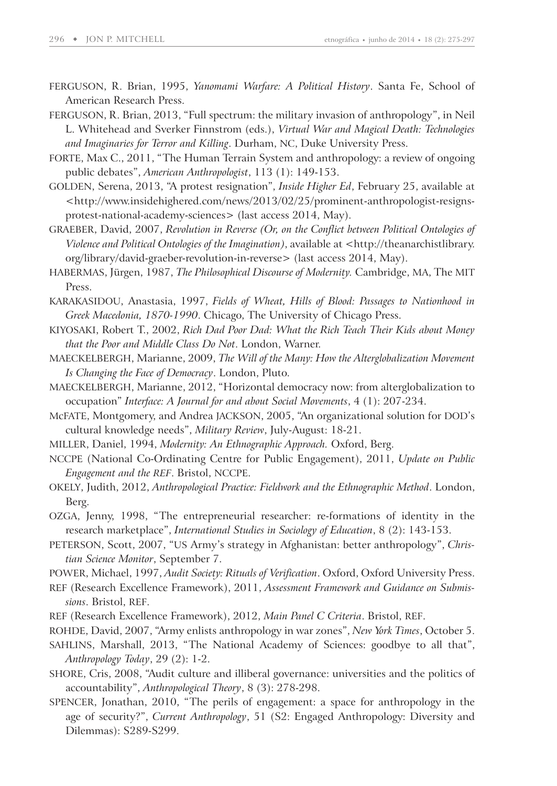- FERGUSON, R. Brian, 1995, *Yanomami Warfare: A Political History*. Santa Fe, School of American Research Press.
- FERGUSON, R. Brian, 2013, "Full spectrum: the military invasion of anthropology", in Neil L. Whitehead and Sverker Finnstrom (eds.), *Virtual War and Magical Death: Technologies and Imaginaries for Terror and Killing*. Durham, NC, Duke University Press.
- FORTE, Max C., 2011, "The Human Terrain System and anthropology: a review of ongoing public debates", *American Anthropologist*, 113 (1): 149-153.
- GOLDEN, Serena, 2013, "A protest resignation", *Inside Higher Ed*, February 25, available at <http: / / www.insidehighered.com / news / 2013 / 02 / 25 / prominent-anthropologist-resignsprotest-national-academy-sciences> (last access 2014, May).
- GRAEBER, David, 2007, *Revolution in Reverse (Or, on the Conflict between Political Ontologies of Violence and Political Ontologies of the Imagination)*, available at <http: / / theanarchistlibrary. org/library/david-graeber-revolution-in-reverse> (last access 2014, May).
- HABERMAS, Jürgen, 1987, *The Philosophical Discourse of Modernity.* Cambridge, MA, The MIT Press.
- KARAKASIDOU, Anastasia, 1997, *Fields of Wheat, Hills of Blood: Passages to Nationhood in Greek Macedonia, 1870-1990*. Chicago, The University of Chicago Press.
- KIYOSAKI, Robert T., 2002, *Rich Dad Poor Dad: What the Rich Teach Their Kids about Money that the Poor and Middle Class Do Not*. London, Warner.
- MAECKELBERGH, Marianne, 2009, *The Will of the Many: How the Alterglobalization Movement Is Changing the Face of Democracy*. London, Pluto.
- MAECKELBERGH, Marianne, 2012, "Horizontal democracy now: from alterglobalization to occupation" *Interface: A Journal for and about Social Movements*, 4 (1): 207-234.
- McFATE, Montgomery, and Andrea JACKSON, 2005, "An organizational solution for DOD's cultural knowledge needs", *Military Review*, July-August: 18-21.
- MILLER, Daniel, 1994, *Modernity: An Ethnographic Approach.* Oxford, Berg.
- NCCPE (National Co-Ordinating Centre for Public Engagement), 2011, *Update on Public Engagement and the REF*. Bristol, NCCPE.
- OKELY, Judith, 2012, *Anthropological Practice: Fieldwork and the Ethnographic Method*. London, Berg.
- OZGA, Jenny, 1998, "The entrepreneurial researcher: re-formations of identity in the research marketplace", *International Studies in Sociology of Education*, 8 (2): 143-153.
- PETERSON, Scott, 2007, "US Army's strategy in Afghanistan: better anthropology", *Christian Science Monitor*, September 7.
- POWER, Michael, 1997, *Audit Society: Rituals of Verification*. Oxford, Oxford University Press.
- REF (Research Excellence Framework), 2011, *Assessment Framework and Guidance on Submissions*. Bristol, REF.
- REF (Research Excellence Framework), 2012, *Main Panel C Criteria*. Bristol, REF.
- ROHDE, David, 2007, "Army enlists anthropology in war zones", *New York Times*, October 5.
- SAHLINS, Marshall, 2013, "The National Academy of Sciences: goodbye to all that", *Anthropology Today*, 29 (2): 1-2.
- SHORE, Cris, 2008, "Audit culture and illiberal governance: universities and the politics of accountability", *Anthropological Theory*, 8 (3): 278-298.
- SPENCER, Jonathan, 2010, "The perils of engagement: a space for anthropology in the age of security?", *Current Anthropology*, 51 (S2: Engaged Anthropology: Diversity and Dilemmas): S289-S299.